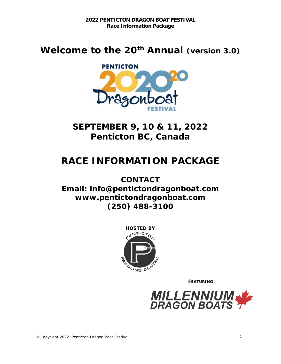# **Welcome to the 20th Annual (version 3.0)**



**SEPTEMBER 9, 10 & 11, 2022 Penticton BC, Canada**

# **RACE INFORMATION PACKAGE**

**CONTACT Email: info@pentictondragonboat.com [www.pentictondragonboat.com](http://www.richmonddragonboat.com/) (250) 488-3100**



**FEATURING**

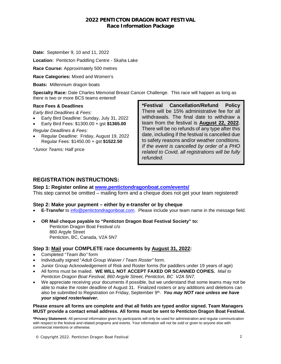## **2022 PENTICTON DRAGON BOAT FESTIVAL Race Information Package**

**Date:** September 9, 10 and 11, 2022

**Location:** Penticton Paddling Centre - Skaha Lake

**Race Course:** Approximately 500 metres

**Race Categories:** Mixed and Women's

**Boats:** Millennium dragon boats

**Specialty Race:** Dale Charles Memorial Breast Cancer Challenge. This race will happen as long as there is two or more BCS teams entered!

#### **Race Fees & Deadlines**

*Early Bird Deadlines & Fees:* 

- Early Bird Deadline: Sunday, July 31, 2022
- Early Bird Fees: \$1300.00 + gst **\$1365.00**

*Regular Deadlines & Fees:* 

• Regular Deadline: Friday, August 19, 2022 Regular Fees: \$1450.00 + gst **\$1522.50**

*\*Junior Teams:* Half price

**\*Festival Cancellation/Refund Policy**  There will be 15% administrative fee for all withdrawals. The final date to withdraw a team from the festival is **August 22, 2022**. There will be no refunds of any type after this date, including if the festival is cancelled due to safety reasons and/or weather conditions. *If the event is cancelled by order of a PHO related to Covid, all registrations will be fully refunded.*

## **REGISTRATION INSTRUCTIONS:**

**Step 1: Register online at [www.pentictondragonboat.com/events/](http://www.pentictondragonboat.com/events/)**

This step cannot be omitted – mailing form and a cheque does not get your team registered!

### **Step 2: Make your payment – either by e-transfer or by cheque**

- **E-Transfer** to [info@pentictondragonboat.com.](mailto:info@pentictondragonboat.com) Please include your team name in the message field.
- **OR Mail cheque payable to "Penticton Dragon Boat Festival Society" to:** Penticton Dragon Boat Festival c/o 860 Argyle Street Penticton, BC, Canada, V2A 5N7

## **Step 3: Mail your COMPLETE race documents by August 31, 2022:**

- Completed "*Team Bio"* form
- Individually signed "*Adult Group Waiver / Team Roster"* form.
- Junior Group Acknowledgement of Risk and Roster forms (for paddlers under 19 years of age)
- All forms must be mailed. **WE WILL NOT ACCEPT FAXED OR SCANNED COPIES.** *Mail to Penticton Dragon Boat Festival, 860 Argyle Street, Penticton, BC V2A 5N7.*
- We appreciate receiving your documents if possible, but we understand that some teams may not be able to make the roster deadline of August 31. Finalized rosters or any additions and deletions can also be submitted to Registration on Friday, September 9th. *You may NOT race unless we have your signed roster/waiver.*

#### **Please ensure all forms are complete and that all fields are typed and/or signed. Team Managers MUST provide a contact email address. All forms must be sent to Penticton Dragon Boat Festival.**

**\*Privacy Statement:** All personal information given by participants will only be used for administration and regular communication with respect to the festival and related programs and events. Your information will not be sold or given to anyone else with commercial intentions or otherwise.